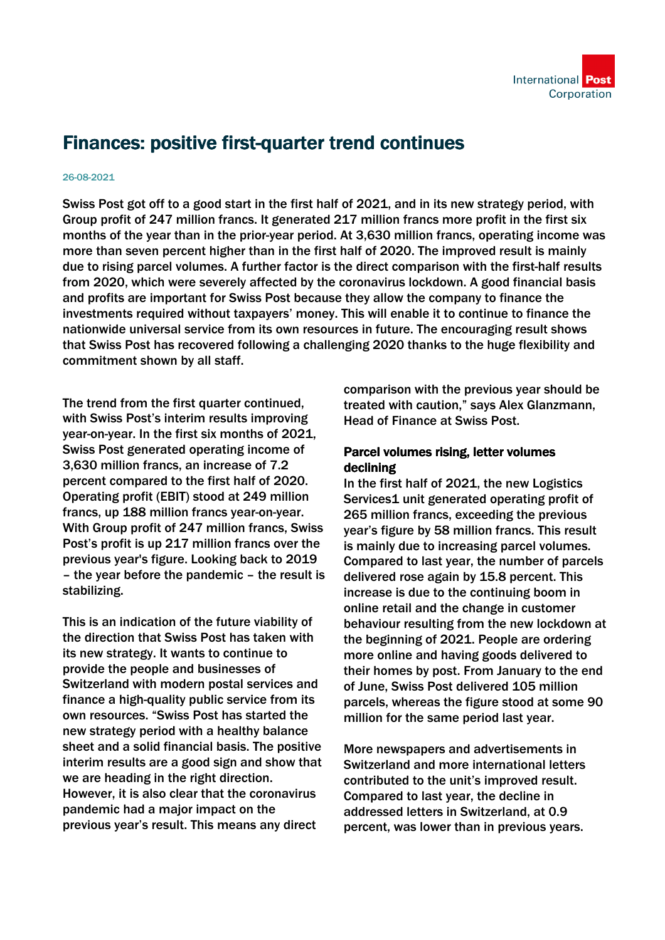

# Finances: positive first-quarter trend continues

#### 26-08-2021

Swiss Post got off to a good start in the first half of 2021, and in its new strategy period, with Group profit of 247 million francs. It generated 217 million francs more profit in the first six months of the year than in the prior-year period. At 3,630 million francs, operating income was more than seven percent higher than in the first half of 2020. The improved result is mainly due to rising parcel volumes. A further factor is the direct comparison with the first-half results from 2020, which were severely affected by the coronavirus lockdown. A good financial basis and profits are important for Swiss Post because they allow the company to finance the investments required without taxpayers' money. This will enable it to continue to finance the nationwide universal service from its own resources in future. The encouraging result shows that Swiss Post has recovered following a challenging 2020 thanks to the huge flexibility and commitment shown by all staff.

The trend from the first quarter continued, with Swiss Post's interim results improving year-on-year. In the first six months of 2021, Swiss Post generated operating income of 3,630 million francs, an increase of 7.2 percent compared to the first half of 2020. Operating profit (EBIT) stood at 249 million francs, up 188 million francs year-on-year. With Group profit of 247 million francs, Swiss Post's profit is up 217 million francs over the previous year's figure. Looking back to 2019 – the year before the pandemic – the result is stabilizing.

This is an indication of the future viability of the direction that Swiss Post has taken with its new strategy. It wants to continue to provide the people and businesses of Switzerland with modern postal services and finance a high-quality public service from its own resources. "Swiss Post has started the new strategy period with a healthy balance sheet and a solid financial basis. The positive interim results are a good sign and show that we are heading in the right direction. However, it is also clear that the coronavirus pandemic had a major impact on the previous year's result. This means any direct

comparison with the previous year should be treated with caution," says Alex Glanzmann, Head of Finance at Swiss Post.

### Parcel volumes rising, letter volumes declining

In the first half of 2021, the new Logistics Services1 unit generated operating profit of 265 million francs, exceeding the previous year's figure by 58 million francs. This result is mainly due to increasing parcel volumes. Compared to last year, the number of parcels delivered rose again by 15.8 percent. This increase is due to the continuing boom in online retail and the change in customer behaviour resulting from the new lockdown at the beginning of 2021. People are ordering more online and having goods delivered to their homes by post. From January to the end of June, Swiss Post delivered 105 million parcels, whereas the figure stood at some 90 million for the same period last year.

More newspapers and advertisements in Switzerland and more international letters contributed to the unit's improved result. Compared to last year, the decline in addressed letters in Switzerland, at 0.9 percent, was lower than in previous years.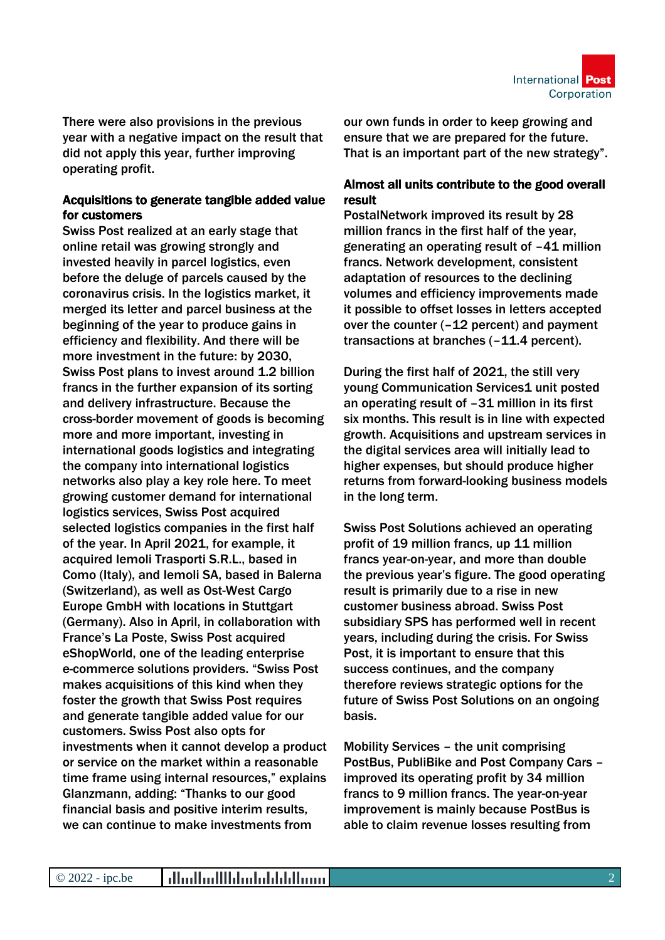

There were also provisions in the previous year with a negative impact on the result that did not apply this year, further improving operating profit.

## Acquisitions to generate tangible added value for customers

Swiss Post realized at an early stage that online retail was growing strongly and invested heavily in parcel logistics, even before the deluge of parcels caused by the coronavirus crisis. In the logistics market, it merged its letter and parcel business at the beginning of the year to produce gains in efficiency and flexibility. And there will be more investment in the future: by 2030, Swiss Post plans to invest around 1.2 billion francs in the further expansion of its sorting and delivery infrastructure. Because the cross-border movement of goods is becoming more and more important, investing in international goods logistics and integrating the company into international logistics networks also play a key role here. To meet growing customer demand for international logistics services, Swiss Post acquired selected logistics companies in the first half of the year. In April 2021, for example, it acquired Iemoli Trasporti S.R.L., based in Como (Italy), and Iemoli SA, based in Balerna (Switzerland), as well as Ost-West Cargo Europe GmbH with locations in Stuttgart (Germany). Also in April, in collaboration with France's La Poste, Swiss Post acquired eShopWorld, one of the leading enterprise e-commerce solutions providers. "Swiss Post makes acquisitions of this kind when they foster the growth that Swiss Post requires and generate tangible added value for our customers. Swiss Post also opts for investments when it cannot develop a product or service on the market within a reasonable time frame using internal resources," explains Glanzmann, adding: "Thanks to our good financial basis and positive interim results, we can continue to make investments from

our own funds in order to keep growing and ensure that we are prepared for the future. That is an important part of the new strategy".

# Almost all units contribute to the good overall result

PostalNetwork improved its result by 28 million francs in the first half of the year, generating an operating result of –41 million francs. Network development, consistent adaptation of resources to the declining volumes and efficiency improvements made it possible to offset losses in letters accepted over the counter (–12 percent) and payment transactions at branches (–11.4 percent).

During the first half of 2021, the still very young Communication Services1 unit posted an operating result of –31 million in its first six months. This result is in line with expected growth. Acquisitions and upstream services in the digital services area will initially lead to higher expenses, but should produce higher returns from forward-looking business models in the long term.

Swiss Post Solutions achieved an operating profit of 19 million francs, up 11 million francs year-on-year, and more than double the previous year's figure. The good operating result is primarily due to a rise in new customer business abroad. Swiss Post subsidiary SPS has performed well in recent years, including during the crisis. For Swiss Post, it is important to ensure that this success continues, and the company therefore reviews strategic options for the future of Swiss Post Solutions on an ongoing basis.

Mobility Services – the unit comprising PostBus, PubliBike and Post Company Cars – improved its operating profit by 34 million francs to 9 million francs. The year-on-year improvement is mainly because PostBus is able to claim revenue losses resulting from